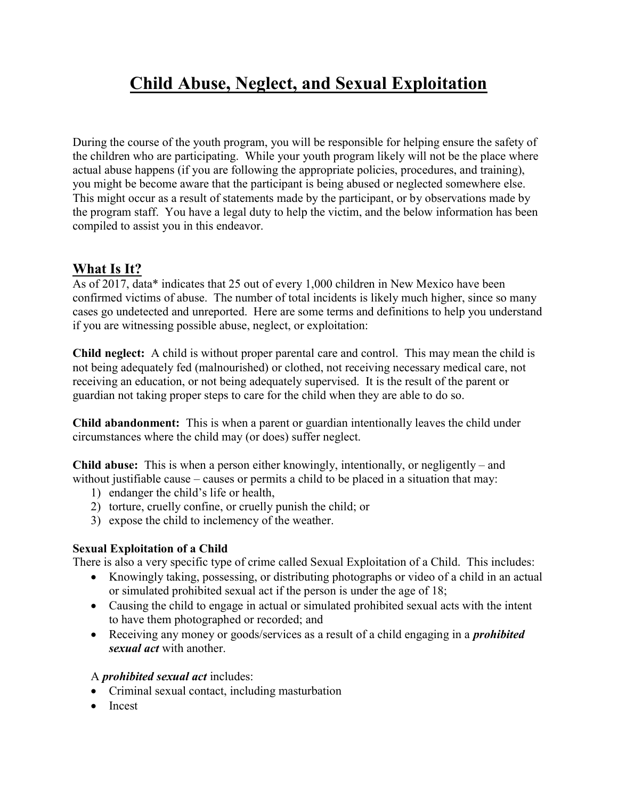# Child Abuse, Neglect, and Sexual Exploitation

During the course of the youth program, you will be responsible for helping ensure the safety of the children who are participating. While your youth program likely will not be the place where actual abuse happens (if you are following the appropriate policies, procedures, and training), you might be become aware that the participant is being abused or neglected somewhere else. This might occur as a result of statements made by the participant, or by observations made by the program staff. You have a legal duty to help the victim, and the below information has been compiled to assist you in this endeavor.

# What Is It?

As of 2017, data\* indicates that 25 out of every 1,000 children in New Mexico have been confirmed victims of abuse. The number of total incidents is likely much higher, since so many cases go undetected and unreported. Here are some terms and definitions to help you understand if you are witnessing possible abuse, neglect, or exploitation:

Child neglect: A child is without proper parental care and control. This may mean the child is not being adequately fed (malnourished) or clothed, not receiving necessary medical care, not receiving an education, or not being adequately supervised. It is the result of the parent or guardian not taking proper steps to care for the child when they are able to do so.

Child abandonment: This is when a parent or guardian intentionally leaves the child under circumstances where the child may (or does) suffer neglect.

Child abuse: This is when a person either knowingly, intentionally, or negligently – and without justifiable cause – causes or permits a child to be placed in a situation that may:

- 1) endanger the child's life or health,
- 2) torture, cruelly confine, or cruelly punish the child; or
- 3) expose the child to inclemency of the weather.

#### Sexual Exploitation of a Child

There is also a very specific type of crime called Sexual Exploitation of a Child. This includes:

- Knowingly taking, possessing, or distributing photographs or video of a child in an actual or simulated prohibited sexual act if the person is under the age of 18;
- Causing the child to engage in actual or simulated prohibited sexual acts with the intent to have them photographed or recorded; and
- Receiving any money or goods/services as a result of a child engaging in a *prohibited* sexual act with another.

#### A *prohibited sexual act* includes:

- Criminal sexual contact, including masturbation
- Incest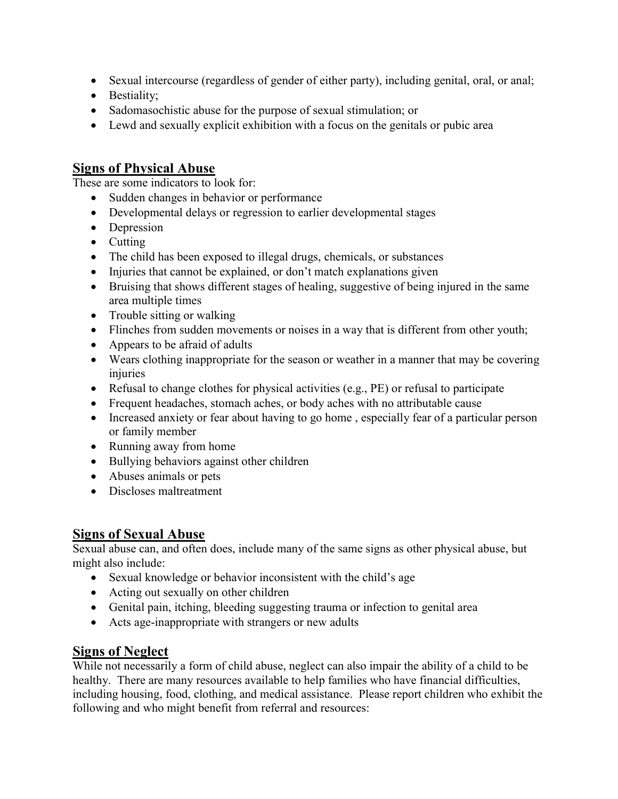- Sexual intercourse (regardless of gender of either party), including genital, oral, or anal;
- Bestiality;
- Sadomasochistic abuse for the purpose of sexual stimulation; or
- Lewd and sexually explicit exhibition with a focus on the genitals or pubic area

### Signs of Physical Abuse

These are some indicators to look for:

- Sudden changes in behavior or performance
- Developmental delays or regression to earlier developmental stages
- Depression
- $\bullet$  Cutting
- The child has been exposed to illegal drugs, chemicals, or substances
- Injuries that cannot be explained, or don't match explanations given
- Bruising that shows different stages of healing, suggestive of being injured in the same area multiple times
- Trouble sitting or walking
- Flinches from sudden movements or noises in a way that is different from other youth;
- Appears to be afraid of adults
- Wears clothing inappropriate for the season or weather in a manner that may be covering injuries
- Refusal to change clothes for physical activities (e.g., PE) or refusal to participate
- Frequent headaches, stomach aches, or body aches with no attributable cause
- Increased anxiety or fear about having to go home, especially fear of a particular person or family member
- Running away from home
- Bullying behaviors against other children
- Abuses animals or pets
- Discloses maltreatment

### Signs of Sexual Abuse

Sexual abuse can, and often does, include many of the same signs as other physical abuse, but might also include:

- Sexual knowledge or behavior inconsistent with the child's age
- Acting out sexually on other children
- Genital pain, itching, bleeding suggesting trauma or infection to genital area
- Acts age-inappropriate with strangers or new adults

# Signs of Neglect

While not necessarily a form of child abuse, neglect can also impair the ability of a child to be healthy. There are many resources available to help families who have financial difficulties, including housing, food, clothing, and medical assistance. Please report children who exhibit the following and who might benefit from referral and resources: